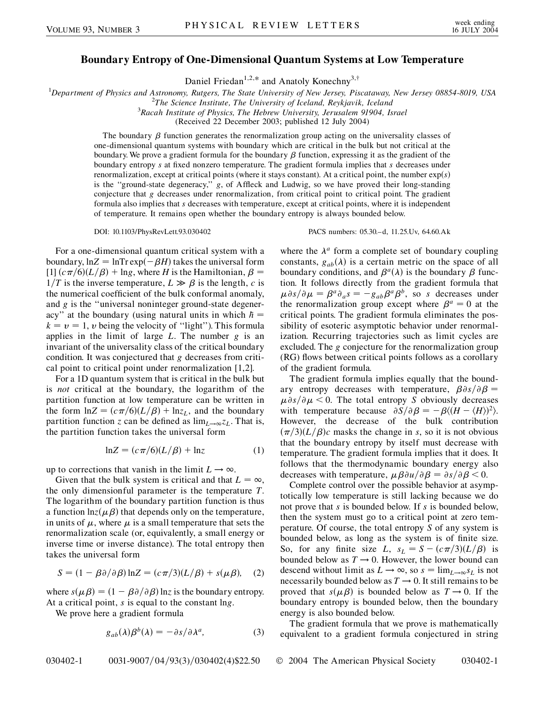## **Boundary Entropy of One-Dimensional Quantum Systems at Low Temperature**

Daniel Friedan<sup>1,2,\*</sup> and Anatoly Konechny<sup>3,†</sup>

<sup>1</sup>Department of Physics and Astronomy, Rutgers, The State University of New Jersey, Piscataway, New Jersey 08854-8019, USA<br><sup>2</sup>The Science Institute The University of Iceland, Peykiavik, Jeeland

*The Science Institute, The University of Iceland, Reykjavik, Iceland* <sup>3</sup>

*Racah Institute of Physics, The Hebrew University, Jerusalem 91904, Israel*

(Received 22 December 2003; published 12 July 2004)

The boundary  $\beta$  function generates the renormalization group acting on the universality classes of one-dimensional quantum systems with boundary which are critical in the bulk but not critical at the boundary. We prove a gradient formula for the boundary  $\beta$  function, expressing it as the gradient of the boundary entropy *s* at fixed nonzero temperature. The gradient formula implies that *s* decreases under renormalization, except at critical points (where it stays constant). At a critical point, the number exp*s* is the ''ground-state degeneracy,'' *g*, of Affleck and Ludwig, so we have proved their long-standing conjecture that *g* decreases under renormalization, from critical point to critical point. The gradient formula also implies that *s* decreases with temperature, except at critical points, where it is independent of temperature. It remains open whether the boundary entropy is always bounded below.

DOI: 10.1103/PhysRevLett.93.030402 PACS numbers: 05.30.–d, 11.25.Uv, 64.60.Ak

where the  $\lambda^a$  form a complete set of boundary coupling

For a one-dimensional quantum critical system with a boundary,  $ln Z = ln Tr exp(-\beta H)$  takes the universal form  $[1]$   $(c\pi/6)(L/\beta)$  + lng, where *H* is the Hamiltonian,  $\beta$  =  $1/T$  is the inverse temperature,  $L \gg \beta$  is the length, *c* is the numerical coefficient of the bulk conformal anomaly, and *g* is the ''universal noninteger ground-state degeneracy" at the boundary (using natural units in which  $h =$  $k = v = 1$ , *v* being the velocity of "light"). This formula applies in the limit of large *L*. The number *g* is an invariant of the universality class of the critical boundary condition. It was conjectured that *g* decreases from critical point to critical point under renormalization [1,2].

For a 1D quantum system that is critical in the bulk but is *not* critical at the boundary, the logarithm of the partition function at low temperature can be written in the form  $\ln Z = (c\pi/6)(L/\beta) + \ln z_L$ , and the boundary partition function *z* can be defined as  $\lim_{L\to\infty}z_L$ . That is, the partition function takes the universal form

$$
\ln Z = (c\pi/6)(L/\beta) + \ln z \tag{1}
$$

up to corrections that vanish in the limit  $L \rightarrow \infty$ .

Given that the bulk system is critical and that  $L = \infty$ , the only dimensionful parameter is the temperature *T*. The logarithm of the boundary partition function is thus a function  $\ln z(\mu \beta)$  that depends only on the temperature, in units of  $\mu$ , where  $\mu$  is a small temperature that sets the renormalization scale (or, equivalently, a small energy or inverse time or inverse distance). The total entropy then takes the universal form

$$
S = (1 - \beta \partial / \partial \beta) \ln Z = (c \pi / 3)(L / \beta) + s(\mu \beta), \quad (2)
$$

where  $s(\mu \beta) = (1 - \beta \partial / \partial \beta) \ln z$  is the boundary entropy. At a critical point, *s* is equal to the constant ln*g*.

We prove here a gradient formula

$$
g_{ab}(\lambda)\beta^{b}(\lambda) = -\partial s/\partial \lambda^{a}, \qquad (3)
$$

constants, 
$$
g_{ab}(\lambda)
$$
 is a certain metric on the space of all  
boundary conditions, and  $\beta^a(\lambda)$  is the boundary  $\beta$  func-  
tion. It follows directly from the gradient formula that  
 $\mu \partial s/\partial \mu = \beta^a \partial_a s = -g_{ab}\beta^a \beta^b$ , so *s* decreases under  
the renormalization group except where  $\beta^a = 0$  at the  
critical points. The gradient formula eliminates the pos-  
sibility of esoteric asymptotic behavior under renormal-  
ization. Recurring trajectories such as limit cycles are  
excluded. The *g* conjecture for the renormalization group  
(RG) flows between critical points follows as a corollary  
of the gradient formula. The gradient formula implies equally that the bound-

ary entropy decreases with temperature,  $\beta \partial s / \partial \beta =$  $\mu \partial s/\partial \mu$  < 0. The total entropy *S* obviously decreases with temperature because  $\partial S/\partial \beta = -\beta \langle (H - \langle H \rangle)^2 \rangle$ . However, the decrease of the bulk contribution  $(\pi/3)(L/\beta)c$  masks the change in *s*, so it is not obvious that the boundary entropy by itself must decrease with temperature. The gradient formula implies that it does. It follows that the thermodynamic boundary energy also decreases with temperature,  $\mu \beta \partial u / \partial \beta = \partial s / \partial \beta < 0$ .

Complete control over the possible behavior at asymptotically low temperature is still lacking because we do not prove that *s* is bounded below. If *s* is bounded below, then the system must go to a critical point at zero temperature. Of course, the total entropy *S* of any system is bounded below, as long as the system is of finite size. So, for any finite size *L*,  $s_L = S - (c\pi/3)(L/\beta)$  is bounded below as  $T \rightarrow 0$ . However, the lower bound can descend without limit as  $L \to \infty$ , so  $s = \lim_{L \to \infty} s_L$  is not necessarily bounded below as  $T \rightarrow 0$ . It still remains to be proved that  $s(\mu \beta)$  is bounded below as  $T \rightarrow 0$ . If the boundary entropy is bounded below, then the boundary energy is also bounded below.

The gradient formula that we prove is mathematically equivalent to a gradient formula conjectured in string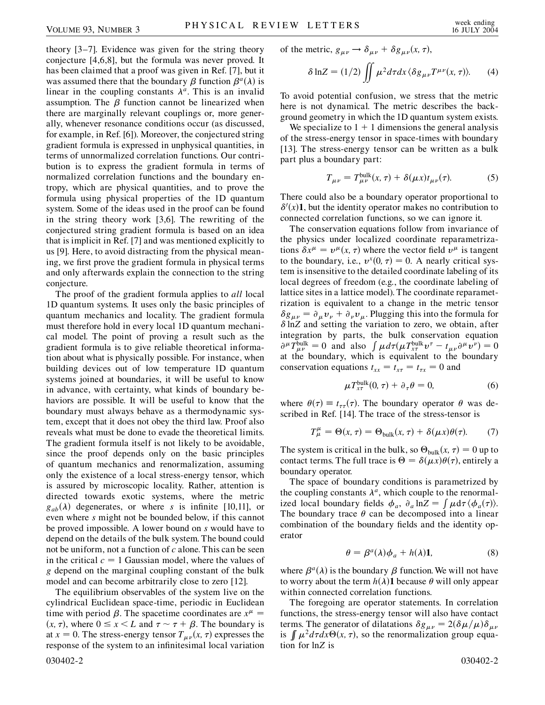theory [3–7]. Evidence was given for the string theory conjecture [4,6,8], but the formula was never proved. It has been claimed that a proof was given in Ref. [7], but it was assumed there that the boundary  $\beta$  function  $\beta^a(\lambda)$  is linear in the coupling constants  $\lambda^a$ . This is an invalid assumption. The  $\beta$  function cannot be linearized when there are marginally relevant couplings or, more generally, whenever resonance conditions occur (as discussed, for example, in Ref. [6]). Moreover, the conjectured string gradient formula is expressed in unphysical quantities, in terms of unnormalized correlation functions. Our contribution is to express the gradient formula in terms of normalized correlation functions and the boundary entropy, which are physical quantities, and to prove the formula using physical properties of the 1D quantum system. Some of the ideas used in the proof can be found in the string theory work [3,6]. The rewriting of the conjectured string gradient formula is based on an idea that is implicit in Ref. [7] and was mentioned explicitly to us [9]. Here, to avoid distracting from the physical meaning, we first prove the gradient formula in physical terms and only afterwards explain the connection to the string conjecture.

The proof of the gradient formula applies to *all* local 1D quantum systems. It uses only the basic principles of quantum mechanics and locality. The gradient formula must therefore hold in every local 1D quantum mechanical model. The point of proving a result such as the gradient formula is to give reliable theoretical information about what is physically possible. For instance, when building devices out of low temperature 1D quantum systems joined at boundaries, it will be useful to know in advance, with certainty, what kinds of boundary behaviors are possible. It will be useful to know that the boundary must always behave as a thermodynamic system, except that it does not obey the third law. Proof also reveals what must be done to evade the theoretical limits. The gradient formula itself is not likely to be avoidable, since the proof depends only on the basic principles of quantum mechanics and renormalization, assuming only the existence of a local stress-energy tensor, which is assured by microscopic locality. Rather, attention is directed towards exotic systems, where the metric  $g_{ab}(\lambda)$  degenerates, or where *s* is infinite [10,11], or even where *s* might not be bounded below, if this cannot be proved impossible. A lower bound on *s* would have to depend on the details of the bulk system. The bound could not be uniform, not a function of *c* alone. This can be seen in the critical  $c = 1$  Gaussian model, where the values of *g* depend on the marginal coupling constant of the bulk model and can become arbitrarily close to zero [12].

The equilibrium observables of the system live on the cylindrical Euclidean space-time, periodic in Euclidean time with period  $\beta$ . The spacetime coordinates are  $x^{\mu}$  =  $(x, \tau)$ , where  $0 \le x \le L$  and  $\tau \sim \tau + \beta$ . The boundary is at  $x = 0$ . The stress-energy tensor  $T_{\mu\nu}(x, \tau)$  expresses the response of the system to an infinitesimal local variation 030402-2 030402-2

$$
\delta \ln Z = (1/2) \iint \mu^2 d\tau dx \langle \delta g_{\mu\nu} T^{\mu\nu}(x,\tau) \rangle. \tag{4}
$$

To avoid potential confusion, we stress that the metric here is not dynamical. The metric describes the background geometry in which the 1D quantum system exists.

We specialize to  $1 + 1$  dimensions the general analysis of the stress-energy tensor in space-times with boundary [13]. The stress-energy tensor can be written as a bulk part plus a boundary part:

$$
T_{\mu\nu} = T_{\mu\nu}^{\text{bulk}}(x,\tau) + \delta(\mu x)t_{\mu\nu}(\tau). \tag{5}
$$

There could also be a boundary operator proportional to  $\delta'(x)$ **1**, but the identity operator makes no contribution to connected correlation functions, so we can ignore it.

The conservation equations follow from invariance of the physics under localized coordinate reparametrizations  $\delta x^{\mu} = v^{\mu}(x, \tau)$  where the vector field  $v^{\mu}$  is tangent to the boundary, i.e.,  $v^x(0, \tau) = 0$ . A nearly critical system is insensitive to the detailed coordinate labeling of its local degrees of freedom (e.g., the coordinate labeling of lattice sites in a lattice model). The coordinate reparametrization is equivalent to a change in the metric tensor  $\delta g_{\mu\nu} = \partial_{\mu} v_{\nu} + \partial_{\nu} v_{\mu}$ . Plugging this into the formula for  $\delta$  ln*Z* and setting the variation to zero, we obtain, after integration by parts, the bulk conservation equation  $\partial^{\mu} T_{\mu\nu}^{\text{bulk}} = 0$  and also  $\int \mu d\tau (\mu T_{\text{xt}}^{\text{bulk}} v^{\tau} - t_{\mu\nu} \partial^{\mu} v^{\nu}) = 0$ at the boundary, which is equivalent to the boundary conservation equations  $t_{xx} = t_{xx} = t_{\tau x} = 0$  and

$$
\mu T_{\chi\tau}^{\text{bulk}}(0,\,\tau) + \partial_{\tau}\theta = 0,\tag{6}
$$

where  $\theta(\tau) \equiv t_{\tau\tau}(\tau)$ . The boundary operator  $\theta$  was described in Ref. [14]. The trace of the stress-tensor is

$$
T^{\mu}_{\mu} = \Theta(x, \tau) = \Theta_{\text{bulk}}(x, \tau) + \delta(\mu x)\theta(\tau). \tag{7}
$$

The system is critical in the bulk, so  $\Theta_{\text{bulk}}(x, \tau) = 0$  up to contact terms. The full trace is  $\Theta = \delta(\mu x) \theta(\tau)$ , entirely a boundary operator.

The space of boundary conditions is parametrized by the coupling constants  $\lambda^a$ , which couple to the renormalized local boundary fields  $\phi_a$ ,  $\partial_a \ln Z = \int \mu d\tau \langle \phi_a(\tau) \rangle$ . The boundary trace  $\theta$  can be decomposed into a linear combination of the boundary fields and the identity operator

$$
\theta = \beta^a(\lambda)\phi_a + h(\lambda)\mathbf{1},\tag{8}
$$

where  $\beta^a(\lambda)$  is the boundary  $\beta$  function. We will not have to worry about the term  $h(\lambda)$ **1** because  $\theta$  will only appear within connected correlation functions.

The foregoing are operator statements. In correlation functions, the stress-energy tensor will also have contact terms. The generator of dilatations  $\delta g_{\mu\nu} = 2(\delta \mu/\mu) \delta_{\mu\nu}$ is  $\int \mu^2 d\tau dx \Theta(x, \tau)$ , so the renormalization group equation for ln*Z* is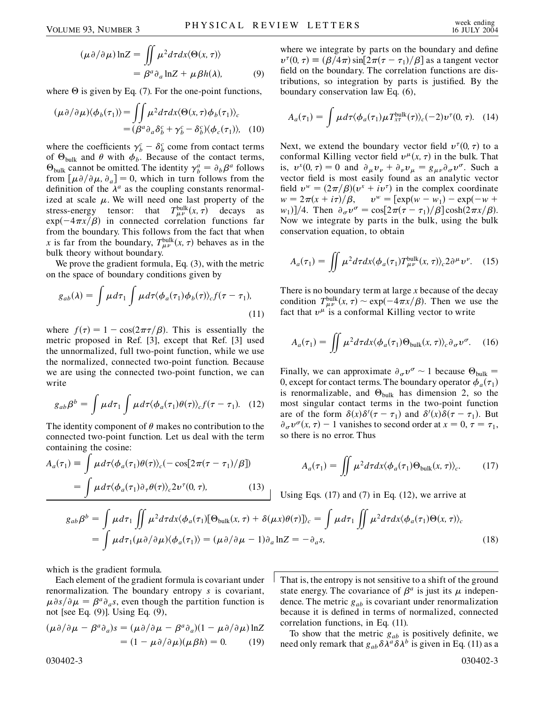$$
(\mu \partial/\partial \mu) \ln Z = \iint \mu^2 d\tau dx \langle \Theta(x, \tau) \rangle
$$
  
=  $\beta^a \partial_a \ln Z + \mu \beta h(\lambda),$  (9)

where  $\Theta$  is given by Eq. (7). For the one-point functions,

$$
(\mu \partial/\partial \mu)\langle \phi_b(\tau_1)\rangle = \iint \mu^2 d\tau dx \langle \Theta(x,\tau)\phi_b(\tau_1)\rangle_c
$$
  
=  $(\beta^a \partial_a \delta_b^c + \gamma_b^c - \delta_b^c)\langle \phi_c(\tau_1)\rangle$ , (10)

where the coefficients  $\gamma_b^c - \delta_b^c$  come from contact terms of  $\Theta_{\text{bulk}}$  and  $\theta$  with  $\phi_b$ . Because of the contact terms,  $\Theta_{\text{bulk}}$  cannot be omitted. The identity  $\gamma_b^a = \partial_b \beta^a$  follows from  $[\mu \partial / \partial \mu, \partial_a] = 0$ , which in turn follows from the definition of the  $\lambda^a$  as the coupling constants renormalized at scale  $\mu$ . We will need one last property of the stress-energy tensor: that  $T_{\mu\nu}^{\text{bulk}}(x,\tau)$  decays as  $exp(-4\pi x/\beta)$  in connected correlation functions far from the boundary. This follows from the fact that when x is far from the boundary,  $T^{\text{bulk}}_{\mu\nu}(x, \tau)$  behaves as in the bulk theory without boundary.

We prove the gradient formula, Eq.  $(3)$ , with the metric on the space of boundary conditions given by

$$
g_{ab}(\lambda) = \int \mu d\tau_1 \int \mu d\tau \langle \phi_a(\tau_1) \phi_b(\tau) \rangle_c f(\tau - \tau_1), \tag{11}
$$

where  $f(\tau) = 1 - \cos(2\pi \tau/\beta)$ . This is essentially the metric proposed in Ref. [3], except that Ref. [3] used the unnormalized, full two-point function, while we use the normalized, connected two-point function. Because we are using the connected two-point function, we can write

$$
g_{ab}\beta^b = \int \mu d\tau_1 \int \mu d\tau \langle \phi_a(\tau_1)\theta(\tau) \rangle_c f(\tau - \tau_1). \quad (12)
$$

The identity component of  $\theta$  makes no contribution to the connected two-point function. Let us deal with the term containing the cosine:

$$
A_a(\tau_1) \equiv \int \mu d\tau \langle \phi_a(\tau_1) \theta(\tau) \rangle_c (-\cos[2\pi(\tau - \tau_1)/\beta])
$$
  
= 
$$
\int \mu d\tau \langle \phi_a(\tau_1) \partial_\tau \theta(\tau) \rangle_c 2v^\tau(0, \tau),
$$
 (13)

where we integrate by parts on the boundary and define  $v^{\tau}(0, \tau) \equiv (\beta/4\pi) \sin[2\pi(\tau - \tau_1)/\beta]$  as a tangent vector field on the boundary. The correlation functions are distributions, so integration by parts is justified. By the boundary conservation law Eq. (6),

$$
A_a(\tau_1) = \int \mu d\tau \langle \phi_a(\tau_1) \mu T_{x\tau}^{\text{bulk}}(\tau) \rangle_c(-2) \nu^{\tau}(0, \tau). \quad (14)
$$

Next, we extend the boundary vector field  $v^{\tau}(0, \tau)$  to a conformal Killing vector field  $v^{\mu}(x, \tau)$  in the bulk. That is,  $v^x(0, \tau) = 0$  and  $\partial_\mu v_\nu + \partial_\nu v_\mu = g_{\mu\nu} \partial_\sigma v^\sigma$ . Such a vector field is most easily found as an analytic vector field  $v^w = (2\pi/\beta)(v^x + iv^{\tau})$  in the complex coordinate  $w = 2\pi(x + i\tau)/\beta$ ,  $v^w = [\exp(w - w_1) - \exp(-w + \lambda)]$  $w_1$ ]/4. Then  $\partial_{\sigma} v^{\sigma} = \cos[2\pi(\tau - \tau_1)/\beta] \cosh(2\pi x/\beta)$ . Now we integrate by parts in the bulk, using the bulk conservation equation, to obtain

$$
A_a(\tau_1) = \iint \mu^2 d\tau dx \langle \phi_a(\tau_1) T_{\mu\nu}^{\text{bulk}}(x,\tau) \rangle_c 2 \partial^\mu \nu^\nu. \quad (15)
$$

There is no boundary term at large *x* because of the decay condition  $T^{\text{bulk}}_{\mu\nu}(x,\tau) \sim \exp(-4\pi x/\beta)$ . Then we use the fact that  $v^{\mu}$  is a conformal Killing vector to write

$$
A_a(\tau_1) = \iint \mu^2 d\tau dx \langle \phi_a(\tau_1) \Theta_{\text{bulk}}(x,\tau) \rangle_c \partial_\sigma v^\sigma. \quad (16)
$$

Finally, we can approximate  $\partial_{\sigma} v^{\sigma} \sim 1$  because  $\Theta_{\text{bulk}} =$ 0, except for contact terms. The boundary operator  $\phi_a(\tau_1)$ is renormalizable, and  $\Theta_{bulk}$  has dimension 2, so the most singular contact terms in the two-point function are of the form  $\delta(x)\delta'(\tau-\tau_1)$  and  $\delta'(x)\delta(\tau-\tau_1)$ . But  $\partial_{\sigma} v^{\sigma}(x, \tau) - 1$  vanishes to second order at  $x = 0, \tau = \tau_1$ , so there is no error. Thus

$$
A_a(\tau_1) = \iint \mu^2 d\tau dx \langle \phi_a(\tau_1) \Theta_{\text{bulk}}(x, \tau) \rangle_c.
$$
 (17)

Using Eqs. (17) and (7) in Eq. (12), we arrive at

$$
g_{ab}\beta^{b} = \int \mu d\tau_{1} \iint \mu^{2} d\tau dx \langle \phi_{a}(\tau_{1})[\Theta_{bulk}(x,\tau) + \delta(\mu x)\theta(\tau)]\rangle_{c} = \int \mu d\tau_{1} \iint \mu^{2} d\tau dx \langle \phi_{a}(\tau_{1})\Theta(x,\tau)\rangle_{c}
$$
  
= 
$$
\int \mu d\tau_{1}(\mu \partial/\partial \mu) \langle \phi_{a}(\tau_{1})\rangle = (\mu \partial/\partial \mu - 1)\partial_{a} \ln Z = -\partial_{a} s,
$$
 (18)

which is the gradient formula.

Each element of the gradient formula is covariant under renormalization. The boundary entropy *s* is covariant,  $\mu \partial s/\partial \mu = \beta^a \partial_a s$ , even though the partition function is not [see Eq. (9)]. Using Eq. (9),

$$
(\mu \partial/\partial \mu - \beta^a \partial_a)s = (\mu \partial/\partial \mu - \beta^a \partial_a)(1 - \mu \partial/\partial \mu) \ln Z
$$
  
= 
$$
(1 - \mu \partial/\partial \mu)(\mu \beta h) = 0.
$$
 (19)

That is, the entropy is not sensitive to a shift of the ground state energy. The covariance of  $\beta^a$  is just its  $\mu$  independence. The metric *gab* is covariant under renormalization because it is defined in terms of normalized, connected correlation functions, in Eq. (11).

To show that the metric *gab* is positively definite, we need only remark that  $g_{ab} \delta \lambda^a \delta \lambda^b$  is given in Eq. (11) as a